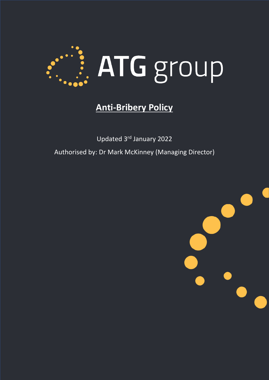

# **Anti-Bribery Policy**

Updated 3rd January 2022 Authorised by: Dr Mark McKinney (Managing Director)

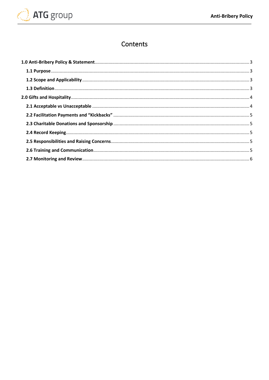

# Contents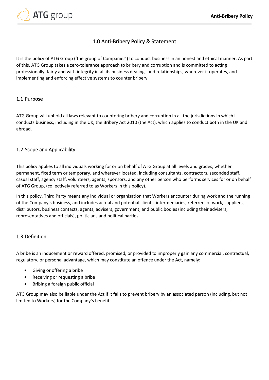

### 1.0 Anti-Bribery Policy & Statement

<span id="page-2-0"></span>It is the policy of ATG Group ('the group of Companies') to conduct business in an honest and ethical manner. As part of this, ATG Group takes a zero-tolerance approach to bribery and corruption and is committed to acting professionally, fairly and with integrity in all its business dealings and relationships, wherever it operates, and implementing and enforcing effective systems to counter bribery.

#### <span id="page-2-1"></span>1.1 Purpose

ATG Group will uphold all laws relevant to countering bribery and corruption in all the jurisdictions in which it conducts business, including in the UK, the Bribery Act 2010 (the Act), which applies to conduct both in the UK and abroad.

#### <span id="page-2-2"></span>1.2 Scope and Applicability

This policy applies to all individuals working for or on behalf of ATG Group at all levels and grades, whether permanent, fixed term or temporary, and wherever located, including consultants, contractors, seconded staff, casual staff, agency staff, volunteers, agents, sponsors, and any other person who performs services for or on behalf of ATG Group, (collectively referred to as Workers in this policy).

In this policy, Third Party means any individual or organisation that Workers encounter during work and the running of the Company's business, and includes actual and potential clients, intermediaries, referrers of work, suppliers, distributors, business contacts, agents, advisers, government, and public bodies (including their advisers, representatives and officials), politicians and political parties.

#### <span id="page-2-3"></span>1.3 Definition

A bribe is an inducement or reward offered, promised, or provided to improperly gain any commercial, contractual, regulatory, or personal advantage, which may constitute an offence under the Act, namely:

- Giving or offering a bribe
- Receiving or requesting a bribe
- Bribing a foreign public official

ATG Group may also be liable under the Act if it fails to prevent bribery by an associated person (including, but not limited to Workers) for the Company's benefit.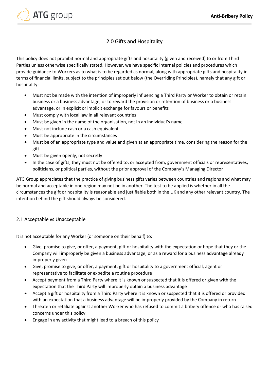

## 2.0 Gifts and Hospitality

<span id="page-3-0"></span>This policy does not prohibit normal and appropriate gifts and hospitality (given and received) to or from Third Parties unless otherwise specifically stated. However, we have specific internal policies and procedures which provide guidance to Workers as to what is to be regarded as normal, along with appropriate gifts and hospitality in terms of financial limits, subject to the principles set out below (the Overriding Principles), namely that any gift or hospitality:

- Must not be made with the intention of improperly influencing a Third Party or Worker to obtain or retain business or a business advantage, or to reward the provision or retention of business or a business advantage, or in explicit or implicit exchange for favours or benefits
- Must comply with local law in all relevant countries
- Must be given in the name of the organisation, not in an individual's name
- Must not include cash or a cash equivalent
- Must be appropriate in the circumstances
- Must be of an appropriate type and value and given at an appropriate time, considering the reason for the gift
- Must be given openly, not secretly
- In the case of gifts, they must not be offered to, or accepted from, government officials or representatives, politicians, or political parties, without the prior approval of the Company's Managing Director

ATG Group appreciates that the practice of giving business gifts varies between countries and regions and what may be normal and acceptable in one region may not be in another. The test to be applied is whether in all the circumstances the gift or hospitality is reasonable and justifiable both in the UK and any other relevant country. The intention behind the gift should always be considered.

#### <span id="page-3-1"></span>2.1 Acceptable vs Unacceptable

It is not acceptable for any Worker (or someone on their behalf) to:

- Give, promise to give, or offer, a payment, gift or hospitality with the expectation or hope that they or the Company will improperly be given a business advantage, or as a reward for a business advantage already improperly given
- Give, promise to give, or offer, a payment, gift or hospitality to a government official, agent or representative to facilitate or expedite a routine procedure
- Accept payment from a Third Party where it is known or suspected that it is offered or given with the expectation that the Third Party will improperly obtain a business advantage
- Accept a gift or hospitality from a Third Party where it is known or suspected that it is offered or provided with an expectation that a business advantage will be improperly provided by the Company in return
- Threaten or retaliate against another Worker who has refused to commit a bribery offence or who has raised concerns under this policy
- Engage in any activity that might lead to a breach of this policy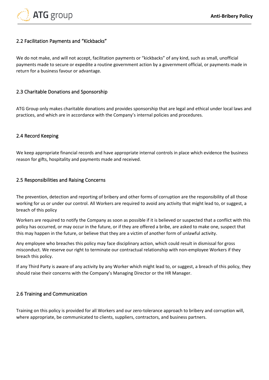

#### <span id="page-4-0"></span>2.2 Facilitation Payments and "Kickbacks"

We do not make, and will not accept, facilitation payments or "kickbacks" of any kind, such as small, unofficial payments made to secure or expedite a routine government action by a government official, or payments made in return for a business favour or advantage.

#### <span id="page-4-1"></span>2.3 Charitable Donations and Sponsorship

ATG Group only makes charitable donations and provides sponsorship that are legal and ethical under local laws and practices, and which are in accordance with the Company's internal policies and procedures.

#### <span id="page-4-2"></span>2.4 Record Keeping

We keep appropriate financial records and have appropriate internal controls in place which evidence the business reason for gifts, hospitality and payments made and received.

#### <span id="page-4-3"></span>2.5 Responsibilities and Raising Concerns

The prevention, detection and reporting of bribery and other forms of corruption are the responsibility of all those working for us or under our control. All Workers are required to avoid any activity that might lead to, or suggest, a breach of this policy

Workers are required to notify the Company as soon as possible if it is believed or suspected that a conflict with this policy has occurred, or may occur in the future, or if they are offered a bribe, are asked to make one, suspect that this may happen in the future, or believe that they are a victim of another form of unlawful activity.

Any employee who breaches this policy may face disciplinary action, which could result in dismissal for gross misconduct. We reserve our right to terminate our contractual relationship with non-employee Workers if they breach this policy.

If any Third Party is aware of any activity by any Worker which might lead to, or suggest, a breach of this policy, they should raise their concerns with the Company's Managing Director or the HR Manager.

#### <span id="page-4-4"></span>2.6 Training and Communication

Training on this policy is provided for all Workers and our zero-tolerance approach to bribery and corruption will, where appropriate, be communicated to clients, suppliers, contractors, and business partners.